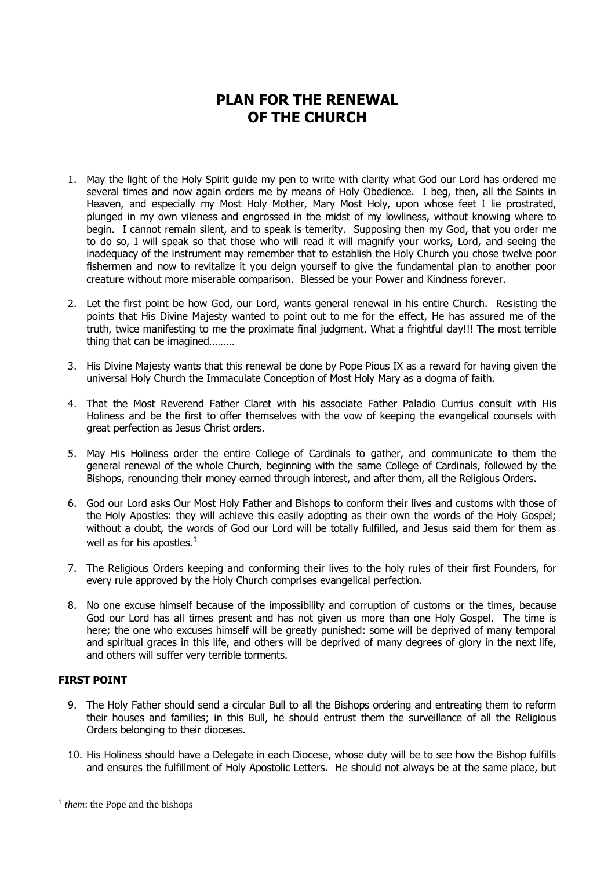## **PLAN FOR THE RENEWAL OF THE CHURCH**

- 1. May the light of the Holy Spirit guide my pen to write with clarity what God our Lord has ordered me several times and now again orders me by means of Holy Obedience. I beg, then, all the Saints in Heaven, and especially my Most Holy Mother, Mary Most Holy, upon whose feet I lie prostrated, plunged in my own vileness and engrossed in the midst of my lowliness, without knowing where to begin. I cannot remain silent, and to speak is temerity. Supposing then my God, that you order me to do so, I will speak so that those who will read it will magnify your works, Lord, and seeing the inadequacy of the instrument may remember that to establish the Holy Church you chose twelve poor fishermen and now to revitalize it you deign yourself to give the fundamental plan to another poor creature without more miserable comparison. Blessed be your Power and Kindness forever.
- 2. Let the first point be how God, our Lord, wants general renewal in his entire Church. Resisting the points that His Divine Majesty wanted to point out to me for the effect, He has assured me of the truth, twice manifesting to me the proximate final judgment. What a frightful day!!! The most terrible thing that can be imagined………
- 3. His Divine Majesty wants that this renewal be done by Pope Pious IX as a reward for having given the universal Holy Church the Immaculate Conception of Most Holy Mary as a dogma of faith.
- 4. That the Most Reverend Father Claret with his associate Father Paladio Currius consult with His Holiness and be the first to offer themselves with the vow of keeping the evangelical counsels with great perfection as Jesus Christ orders.
- 5. May His Holiness order the entire College of Cardinals to gather, and communicate to them the general renewal of the whole Church, beginning with the same College of Cardinals, followed by the Bishops, renouncing their money earned through interest, and after them, all the Religious Orders.
- 6. God our Lord asks Our Most Holy Father and Bishops to conform their lives and customs with those of the Holy Apostles: they will achieve this easily adopting as their own the words of the Holy Gospel; without a doubt, the words of God our Lord will be totally fulfilled, and Jesus said them for them as well as for his apostles. $<sup>1</sup>$ </sup>
- 7. The Religious Orders keeping and conforming their lives to the holy rules of their first Founders, for every rule approved by the Holy Church comprises evangelical perfection.
- 8. No one excuse himself because of the impossibility and corruption of customs or the times, because God our Lord has all times present and has not given us more than one Holy Gospel. The time is here; the one who excuses himself will be greatly punished: some will be deprived of many temporal and spiritual graces in this life, and others will be deprived of many degrees of glory in the next life, and others will suffer very terrible torments.

## **FIRST POINT**

1

- 9. The Holy Father should send a circular Bull to all the Bishops ordering and entreating them to reform their houses and families; in this Bull, he should entrust them the surveillance of all the Religious Orders belonging to their dioceses.
- 10. His Holiness should have a Delegate in each Diocese, whose duty will be to see how the Bishop fulfills and ensures the fulfillment of Holy Apostolic Letters. He should not always be at the same place, but

<sup>&</sup>lt;sup>1</sup> them: the Pope and the bishops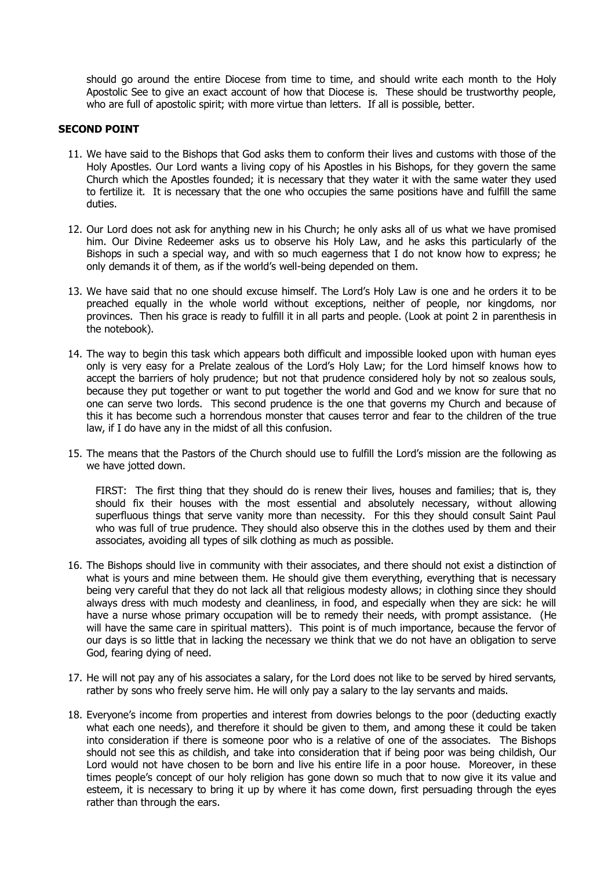should go around the entire Diocese from time to time, and should write each month to the Holy Apostolic See to give an exact account of how that Diocese is. These should be trustworthy people, who are full of apostolic spirit; with more virtue than letters. If all is possible, better.

## **SECOND POINT**

- 11. We have said to the Bishops that God asks them to conform their lives and customs with those of the Holy Apostles. Our Lord wants a living copy of his Apostles in his Bishops, for they govern the same Church which the Apostles founded; it is necessary that they water it with the same water they used to fertilize it. It is necessary that the one who occupies the same positions have and fulfill the same duties.
- 12. Our Lord does not ask for anything new in his Church; he only asks all of us what we have promised him. Our Divine Redeemer asks us to observe his Holy Law, and he asks this particularly of the Bishops in such a special way, and with so much eagerness that I do not know how to express; he only demands it of them, as if the world's well-being depended on them.
- 13. We have said that no one should excuse himself. The Lord's Holy Law is one and he orders it to be preached equally in the whole world without exceptions, neither of people, nor kingdoms, nor provinces. Then his grace is ready to fulfill it in all parts and people. (Look at point 2 in parenthesis in the notebook).
- 14. The way to begin this task which appears both difficult and impossible looked upon with human eyes only is very easy for a Prelate zealous of the Lord's Holy Law; for the Lord himself knows how to accept the barriers of holy prudence; but not that prudence considered holy by not so zealous souls, because they put together or want to put together the world and God and we know for sure that no one can serve two lords. This second prudence is the one that governs my Church and because of this it has become such a horrendous monster that causes terror and fear to the children of the true law, if I do have any in the midst of all this confusion.
- 15. The means that the Pastors of the Church should use to fulfill the Lord's mission are the following as we have jotted down.

FIRST: The first thing that they should do is renew their lives, houses and families; that is, they should fix their houses with the most essential and absolutely necessary, without allowing superfluous things that serve vanity more than necessity. For this they should consult Saint Paul who was full of true prudence. They should also observe this in the clothes used by them and their associates, avoiding all types of silk clothing as much as possible.

- 16. The Bishops should live in community with their associates, and there should not exist a distinction of what is yours and mine between them. He should give them everything, everything that is necessary being very careful that they do not lack all that religious modesty allows; in clothing since they should always dress with much modesty and cleanliness, in food, and especially when they are sick: he will have a nurse whose primary occupation will be to remedy their needs, with prompt assistance. (He will have the same care in spiritual matters). This point is of much importance, because the fervor of our days is so little that in lacking the necessary we think that we do not have an obligation to serve God, fearing dying of need.
- 17. He will not pay any of his associates a salary, for the Lord does not like to be served by hired servants, rather by sons who freely serve him. He will only pay a salary to the lay servants and maids.
- 18. Everyone's income from properties and interest from dowries belongs to the poor (deducting exactly what each one needs), and therefore it should be given to them, and among these it could be taken into consideration if there is someone poor who is a relative of one of the associates. The Bishops should not see this as childish, and take into consideration that if being poor was being childish, Our Lord would not have chosen to be born and live his entire life in a poor house. Moreover, in these times people's concept of our holy religion has gone down so much that to now give it its value and esteem, it is necessary to bring it up by where it has come down, first persuading through the eyes rather than through the ears.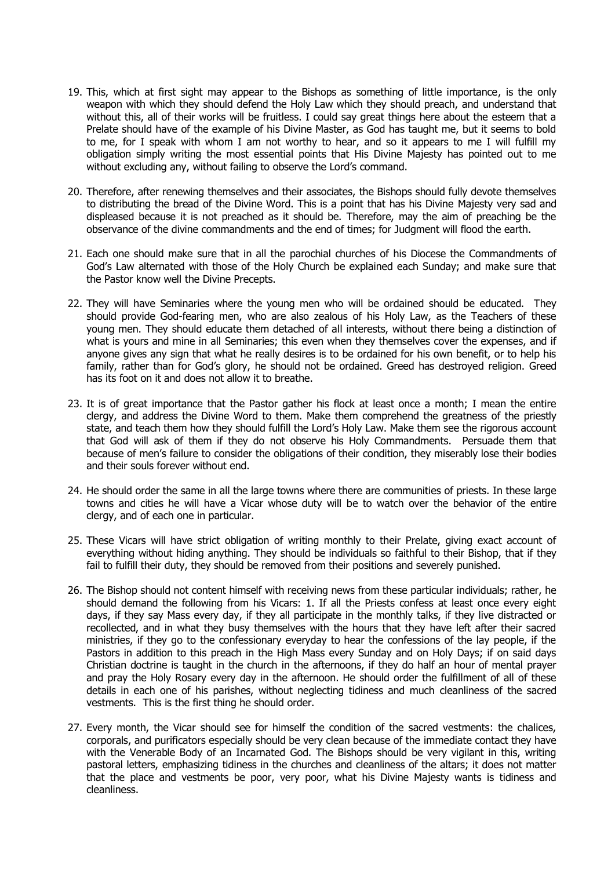- 19. This, which at first sight may appear to the Bishops as something of little importance, is the only weapon with which they should defend the Holy Law which they should preach, and understand that without this, all of their works will be fruitless. I could say great things here about the esteem that a Prelate should have of the example of his Divine Master, as God has taught me, but it seems to bold to me, for I speak with whom I am not worthy to hear, and so it appears to me I will fulfill my obligation simply writing the most essential points that His Divine Majesty has pointed out to me without excluding any, without failing to observe the Lord's command.
- 20. Therefore, after renewing themselves and their associates, the Bishops should fully devote themselves to distributing the bread of the Divine Word. This is a point that has his Divine Majesty very sad and displeased because it is not preached as it should be. Therefore, may the aim of preaching be the observance of the divine commandments and the end of times; for Judgment will flood the earth.
- 21. Each one should make sure that in all the parochial churches of his Diocese the Commandments of God's Law alternated with those of the Holy Church be explained each Sunday; and make sure that the Pastor know well the Divine Precepts.
- 22. They will have Seminaries where the young men who will be ordained should be educated. They should provide God-fearing men, who are also zealous of his Holy Law, as the Teachers of these young men. They should educate them detached of all interests, without there being a distinction of what is yours and mine in all Seminaries; this even when they themselves cover the expenses, and if anyone gives any sign that what he really desires is to be ordained for his own benefit, or to help his family, rather than for God's glory, he should not be ordained. Greed has destroyed religion. Greed has its foot on it and does not allow it to breathe.
- 23. It is of great importance that the Pastor gather his flock at least once a month; I mean the entire clergy, and address the Divine Word to them. Make them comprehend the greatness of the priestly state, and teach them how they should fulfill the Lord's Holy Law. Make them see the rigorous account that God will ask of them if they do not observe his Holy Commandments. Persuade them that because of men's failure to consider the obligations of their condition, they miserably lose their bodies and their souls forever without end.
- 24. He should order the same in all the large towns where there are communities of priests. In these large towns and cities he will have a Vicar whose duty will be to watch over the behavior of the entire clergy, and of each one in particular.
- 25. These Vicars will have strict obligation of writing monthly to their Prelate, giving exact account of everything without hiding anything. They should be individuals so faithful to their Bishop, that if they fail to fulfill their duty, they should be removed from their positions and severely punished.
- 26. The Bishop should not content himself with receiving news from these particular individuals; rather, he should demand the following from his Vicars: 1. If all the Priests confess at least once every eight days, if they say Mass every day, if they all participate in the monthly talks, if they live distracted or recollected, and in what they busy themselves with the hours that they have left after their sacred ministries, if they go to the confessionary everyday to hear the confessions of the lay people, if the Pastors in addition to this preach in the High Mass every Sunday and on Holy Days; if on said days Christian doctrine is taught in the church in the afternoons, if they do half an hour of mental prayer and pray the Holy Rosary every day in the afternoon. He should order the fulfillment of all of these details in each one of his parishes, without neglecting tidiness and much cleanliness of the sacred vestments. This is the first thing he should order.
- 27. Every month, the Vicar should see for himself the condition of the sacred vestments: the chalices, corporals, and purificators especially should be very clean because of the immediate contact they have with the Venerable Body of an Incarnated God. The Bishops should be very vigilant in this, writing pastoral letters, emphasizing tidiness in the churches and cleanliness of the altars; it does not matter that the place and vestments be poor, very poor, what his Divine Majesty wants is tidiness and cleanliness.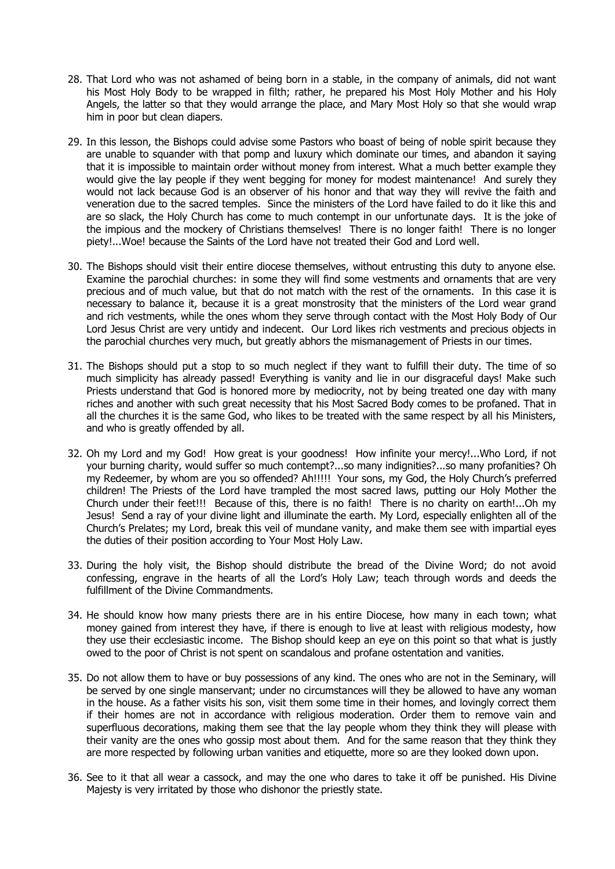- 28. That Lord who was not ashamed of being born in a stable, in the company of animals, did not want his Most Holy Body to be wrapped in filth; rather, he prepared his Most Holy Mother and his Holy Angels, the latter so that they would arrange the place, and Mary Most Holy so that she would wrap him in poor but clean diapers.
- 29. In this lesson, the Bishops could advise some Pastors who boast of being of noble spirit because they are unable to squander with that pomp and luxury which dominate our times, and abandon it saying that it is impossible to maintain order without money from interest. What a much better example they would give the lay people if they went begging for money for modest maintenance! And surely they would not lack because God is an observer of his honor and that way they will revive the faith and veneration due to the sacred temples. Since the ministers of the Lord have failed to do it like this and are so slack, the Holy Church has come to much contempt in our unfortunate days. It is the joke of the impious and the mockery of Christians themselves! There is no longer faith! There is no longer piety!...Woe! because the Saints of the Lord have not treated their God and Lord well.
- 30. The Bishops should visit their entire diocese themselves, without entrusting this duty to anyone else. Examine the parochial churches: in some they will find some vestments and ornaments that are very precious and of much value, but that do not match with the rest of the ornaments. In this case it is necessary to balance it, because it is a great monstrosity that the ministers of the Lord wear grand and rich vestments, while the ones whom they serve through contact with the Most Holy Body of Our Lord Jesus Christ are very untidy and indecent. Our Lord likes rich vestments and precious objects in the parochial churches very much, but greatly abhors the mismanagement of Priests in our times.
- 31. The Bishops should put a stop to so much neglect if they want to fulfill their duty. The time of so much simplicity has already passed! Everything is vanity and lie in our disgraceful days! Make such Priests understand that God is honored more by mediocrity, not by being treated one day with many riches and another with such great necessity that his Most Sacred Body comes to be profaned. That in all the churches it is the same God, who likes to be treated with the same respect by all his Ministers, and who is greatly offended by all.
- 32. Oh my Lord and my God! How great is your goodness! How infinite your mercy!...Who Lord, if not your burning charity, would suffer so much contempt?...so many indignities?...so many profanities? Oh my Redeemer, by whom are you so offended? Ah!!!!! Your sons, my God, the Holy Church's preferred children! The Priests of the Lord have trampled the most sacred laws, putting our Holy Mother the Church under their feet!!! Because of this, there is no faith! There is no charity on earth!...Oh my Jesus! Send a ray of your divine light and illuminate the earth. My Lord, especially enlighten all of the Church's Prelates; my Lord, break this veil of mundane vanity, and make them see with impartial eyes the duties of their position according to Your Most Holy Law.
- 33. During the holy visit, the Bishop should distribute the bread of the Divine Word; do not avoid confessing, engrave in the hearts of all the Lord's Holy Law; teach through words and deeds the fulfillment of the Divine Commandments.
- 34. He should know how many priests there are in his entire Diocese, how many in each town; what money gained from interest they have, if there is enough to live at least with religious modesty, how they use their ecclesiastic income. The Bishop should keep an eye on this point so that what is justly owed to the poor of Christ is not spent on scandalous and profane ostentation and vanities.
- 35. Do not allow them to have or buy possessions of any kind. The ones who are not in the Seminary, will be served by one single manservant; under no circumstances will they be allowed to have any woman in the house. As a father visits his son, visit them some time in their homes, and lovingly correct them if their homes are not in accordance with religious moderation. Order them to remove vain and superfluous decorations, making them see that the lay people whom they think they will please with their vanity are the ones who gossip most about them. And for the same reason that they think they are more respected by following urban vanities and etiquette, more so are they looked down upon.
- 36. See to it that all wear a cassock, and may the one who dares to take it off be punished. His Divine Majesty is very irritated by those who dishonor the priestly state.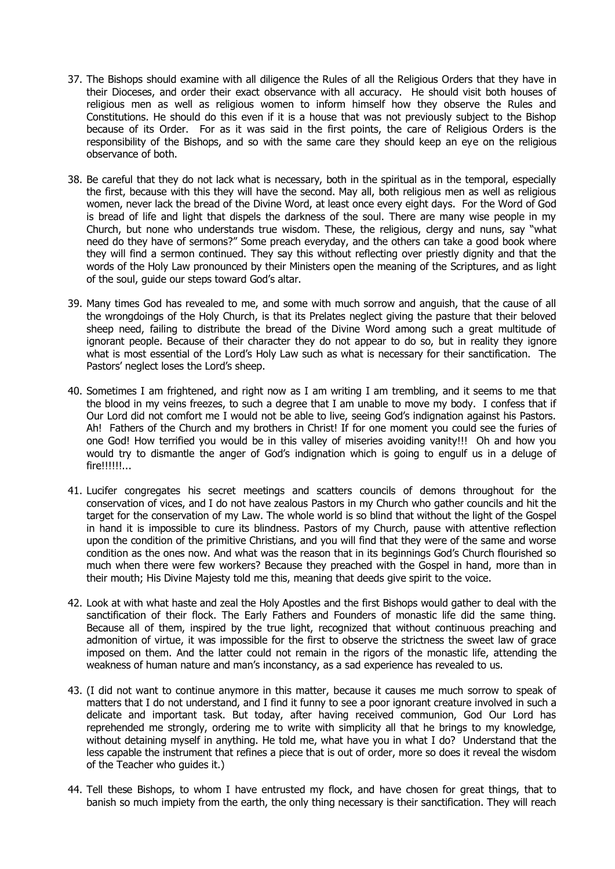- 37. The Bishops should examine with all diligence the Rules of all the Religious Orders that they have in their Dioceses, and order their exact observance with all accuracy. He should visit both houses of religious men as well as religious women to inform himself how they observe the Rules and Constitutions. He should do this even if it is a house that was not previously subject to the Bishop because of its Order. For as it was said in the first points, the care of Religious Orders is the responsibility of the Bishops, and so with the same care they should keep an eye on the religious observance of both.
- 38. Be careful that they do not lack what is necessary, both in the spiritual as in the temporal, especially the first, because with this they will have the second. May all, both religious men as well as religious women, never lack the bread of the Divine Word, at least once every eight days. For the Word of God is bread of life and light that dispels the darkness of the soul. There are many wise people in my Church, but none who understands true wisdom. These, the religious, clergy and nuns, say "what need do they have of sermons?" Some preach everyday, and the others can take a good book where they will find a sermon continued. They say this without reflecting over priestly dignity and that the words of the Holy Law pronounced by their Ministers open the meaning of the Scriptures, and as light of the soul, guide our steps toward God's altar.
- 39. Many times God has revealed to me, and some with much sorrow and anguish, that the cause of all the wrongdoings of the Holy Church, is that its Prelates neglect giving the pasture that their beloved sheep need, failing to distribute the bread of the Divine Word among such a great multitude of ignorant people. Because of their character they do not appear to do so, but in reality they ignore what is most essential of the Lord's Holy Law such as what is necessary for their sanctification. The Pastors' neglect loses the Lord's sheep.
- 40. Sometimes I am frightened, and right now as I am writing I am trembling, and it seems to me that the blood in my veins freezes, to such a degree that I am unable to move my body. I confess that if Our Lord did not comfort me I would not be able to live, seeing God's indignation against his Pastors. Ah! Fathers of the Church and my brothers in Christ! If for one moment you could see the furies of one God! How terrified you would be in this valley of miseries avoiding vanity!!! Oh and how you would try to dismantle the anger of God's indignation which is going to engulf us in a deluge of fire!!!!!!...
- 41. Lucifer congregates his secret meetings and scatters councils of demons throughout for the conservation of vices, and I do not have zealous Pastors in my Church who gather councils and hit the target for the conservation of my Law. The whole world is so blind that without the light of the Gospel in hand it is impossible to cure its blindness. Pastors of my Church, pause with attentive reflection upon the condition of the primitive Christians, and you will find that they were of the same and worse condition as the ones now. And what was the reason that in its beginnings God's Church flourished so much when there were few workers? Because they preached with the Gospel in hand, more than in their mouth; His Divine Majesty told me this, meaning that deeds give spirit to the voice.
- 42. Look at with what haste and zeal the Holy Apostles and the first Bishops would gather to deal with the sanctification of their flock. The Early Fathers and Founders of monastic life did the same thing. Because all of them, inspired by the true light, recognized that without continuous preaching and admonition of virtue, it was impossible for the first to observe the strictness the sweet law of grace imposed on them. And the latter could not remain in the rigors of the monastic life, attending the weakness of human nature and man's inconstancy, as a sad experience has revealed to us.
- 43. (I did not want to continue anymore in this matter, because it causes me much sorrow to speak of matters that I do not understand, and I find it funny to see a poor ignorant creature involved in such a delicate and important task. But today, after having received communion, God Our Lord has reprehended me strongly, ordering me to write with simplicity all that he brings to my knowledge, without detaining myself in anything. He told me, what have you in what I do? Understand that the less capable the instrument that refines a piece that is out of order, more so does it reveal the wisdom of the Teacher who guides it.)
- 44. Tell these Bishops, to whom I have entrusted my flock, and have chosen for great things, that to banish so much impiety from the earth, the only thing necessary is their sanctification. They will reach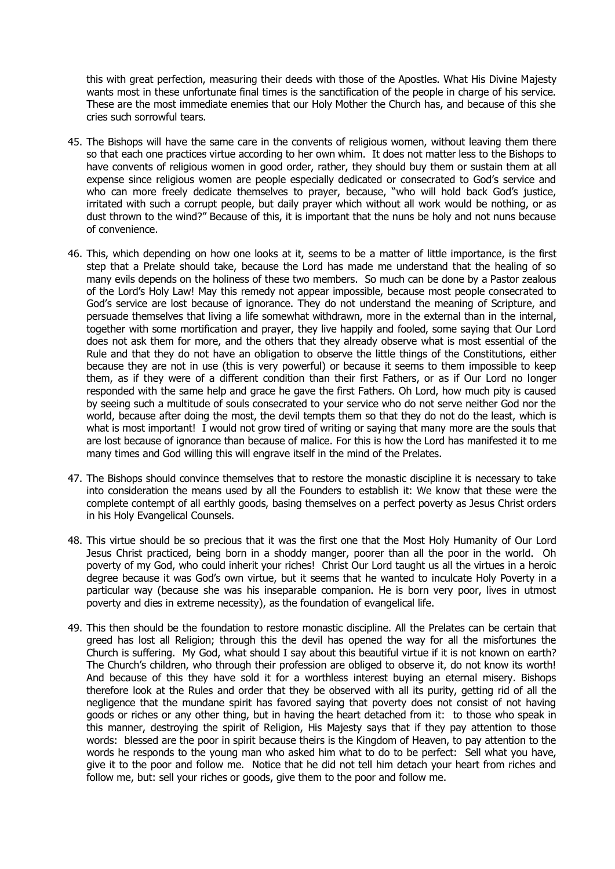this with great perfection, measuring their deeds with those of the Apostles. What His Divine Majesty wants most in these unfortunate final times is the sanctification of the people in charge of his service. These are the most immediate enemies that our Holy Mother the Church has, and because of this she cries such sorrowful tears.

- 45. The Bishops will have the same care in the convents of religious women, without leaving them there so that each one practices virtue according to her own whim. It does not matter less to the Bishops to have convents of religious women in good order, rather, they should buy them or sustain them at all expense since religious women are people especially dedicated or consecrated to God's service and who can more freely dedicate themselves to prayer, because, "who will hold back God's justice, irritated with such a corrupt people, but daily prayer which without all work would be nothing, or as dust thrown to the wind?" Because of this, it is important that the nuns be holy and not nuns because of convenience.
- 46. This, which depending on how one looks at it, seems to be a matter of little importance, is the first step that a Prelate should take, because the Lord has made me understand that the healing of so many evils depends on the holiness of these two members. So much can be done by a Pastor zealous of the Lord's Holy Law! May this remedy not appear impossible, because most people consecrated to God's service are lost because of ignorance. They do not understand the meaning of Scripture, and persuade themselves that living a life somewhat withdrawn, more in the external than in the internal, together with some mortification and prayer, they live happily and fooled, some saying that Our Lord does not ask them for more, and the others that they already observe what is most essential of the Rule and that they do not have an obligation to observe the little things of the Constitutions, either because they are not in use (this is very powerful) or because it seems to them impossible to keep them, as if they were of a different condition than their first Fathers, or as if Our Lord no longer responded with the same help and grace he gave the first Fathers. Oh Lord, how much pity is caused by seeing such a multitude of souls consecrated to your service who do not serve neither God nor the world, because after doing the most, the devil tempts them so that they do not do the least, which is what is most important! I would not grow tired of writing or saying that many more are the souls that are lost because of ignorance than because of malice. For this is how the Lord has manifested it to me many times and God willing this will engrave itself in the mind of the Prelates.
- 47. The Bishops should convince themselves that to restore the monastic discipline it is necessary to take into consideration the means used by all the Founders to establish it: We know that these were the complete contempt of all earthly goods, basing themselves on a perfect poverty as Jesus Christ orders in his Holy Evangelical Counsels.
- 48. This virtue should be so precious that it was the first one that the Most Holy Humanity of Our Lord Jesus Christ practiced, being born in a shoddy manger, poorer than all the poor in the world. Oh poverty of my God, who could inherit your riches! Christ Our Lord taught us all the virtues in a heroic degree because it was God's own virtue, but it seems that he wanted to inculcate Holy Poverty in a particular way (because she was his inseparable companion. He is born very poor, lives in utmost poverty and dies in extreme necessity), as the foundation of evangelical life.
- 49. This then should be the foundation to restore monastic discipline. All the Prelates can be certain that greed has lost all Religion; through this the devil has opened the way for all the misfortunes the Church is suffering. My God, what should I say about this beautiful virtue if it is not known on earth? The Church's children, who through their profession are obliged to observe it, do not know its worth! And because of this they have sold it for a worthless interest buying an eternal misery. Bishops therefore look at the Rules and order that they be observed with all its purity, getting rid of all the negligence that the mundane spirit has favored saying that poverty does not consist of not having goods or riches or any other thing, but in having the heart detached from it: to those who speak in this manner, destroying the spirit of Religion, His Majesty says that if they pay attention to those words: blessed are the poor in spirit because theirs is the Kingdom of Heaven, to pay attention to the words he responds to the young man who asked him what to do to be perfect: Sell what you have, give it to the poor and follow me. Notice that he did not tell him detach your heart from riches and follow me, but: sell your riches or goods, give them to the poor and follow me.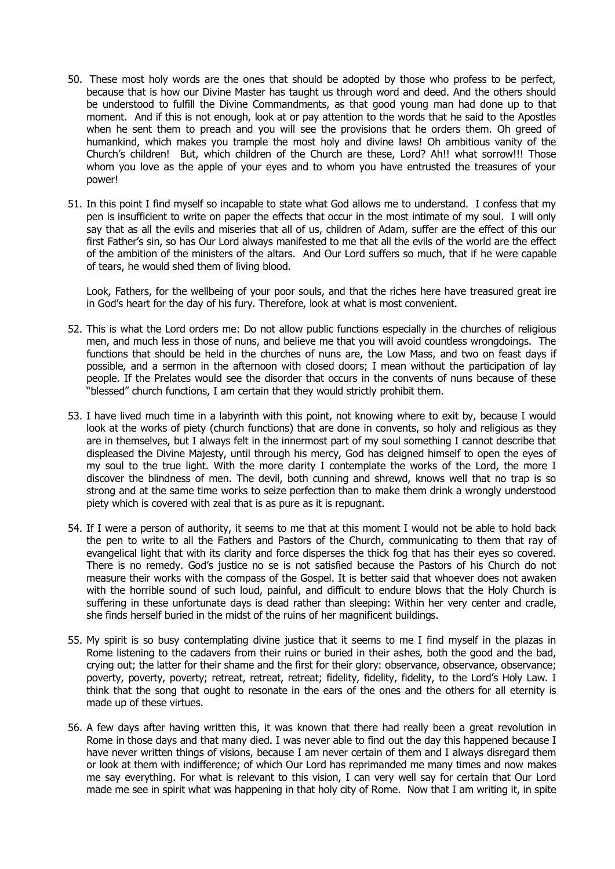- 50. These most holy words are the ones that should be adopted by those who profess to be perfect, because that is how our Divine Master has taught us through word and deed. And the others should be understood to fulfill the Divine Commandments, as that good young man had done up to that moment. And if this is not enough, look at or pay attention to the words that he said to the Apostles when he sent them to preach and you will see the provisions that he orders them. Oh greed of humankind, which makes you trample the most holy and divine laws! Oh ambitious vanity of the Church's children! But, which children of the Church are these, Lord? Ah!! what sorrow!!! Those whom you love as the apple of your eyes and to whom you have entrusted the treasures of your power!
- 51. In this point I find myself so incapable to state what God allows me to understand. I confess that my pen is insufficient to write on paper the effects that occur in the most intimate of my soul. I will only say that as all the evils and miseries that all of us, children of Adam, suffer are the effect of this our first Father's sin, so has Our Lord always manifested to me that all the evils of the world are the effect of the ambition of the ministers of the altars. And Our Lord suffers so much, that if he were capable of tears, he would shed them of living blood.

Look, Fathers, for the wellbeing of your poor souls, and that the riches here have treasured great ire in God's heart for the day of his fury. Therefore, look at what is most convenient.

- 52. This is what the Lord orders me: Do not allow public functions especially in the churches of religious men, and much less in those of nuns, and believe me that you will avoid countless wrongdoings. The functions that should be held in the churches of nuns are, the Low Mass, and two on feast days if possible, and a sermon in the afternoon with closed doors; I mean without the participation of lay people. If the Prelates would see the disorder that occurs in the convents of nuns because of these "blessed" church functions, I am certain that they would strictly prohibit them.
- 53. I have lived much time in a labyrinth with this point, not knowing where to exit by, because I would look at the works of piety (church functions) that are done in convents, so holy and religious as they are in themselves, but I always felt in the innermost part of my soul something I cannot describe that displeased the Divine Majesty, until through his mercy, God has deigned himself to open the eyes of my soul to the true light. With the more clarity I contemplate the works of the Lord, the more I discover the blindness of men. The devil, both cunning and shrewd, knows well that no trap is so strong and at the same time works to seize perfection than to make them drink a wrongly understood piety which is covered with zeal that is as pure as it is repugnant.
- 54. If I were a person of authority, it seems to me that at this moment I would not be able to hold back the pen to write to all the Fathers and Pastors of the Church, communicating to them that ray of evangelical light that with its clarity and force disperses the thick fog that has their eyes so covered. There is no remedy. God's justice no se is not satisfied because the Pastors of his Church do not measure their works with the compass of the Gospel. It is better said that whoever does not awaken with the horrible sound of such loud, painful, and difficult to endure blows that the Holy Church is suffering in these unfortunate days is dead rather than sleeping: Within her very center and cradle, she finds herself buried in the midst of the ruins of her magnificent buildings.
- 55. My spirit is so busy contemplating divine justice that it seems to me I find myself in the plazas in Rome listening to the cadavers from their ruins or buried in their ashes, both the good and the bad, crying out; the latter for their shame and the first for their glory: observance, observance, observance; poverty, poverty, poverty; retreat, retreat, retreat; fidelity, fidelity, fidelity, to the Lord's Holy Law. I think that the song that ought to resonate in the ears of the ones and the others for all eternity is made up of these virtues.
- 56. A few days after having written this, it was known that there had really been a great revolution in Rome in those days and that many died. I was never able to find out the day this happened because I have never written things of visions, because I am never certain of them and I always disregard them or look at them with indifference; of which Our Lord has reprimanded me many times and now makes me say everything. For what is relevant to this vision, I can very well say for certain that Our Lord made me see in spirit what was happening in that holy city of Rome. Now that I am writing it, in spite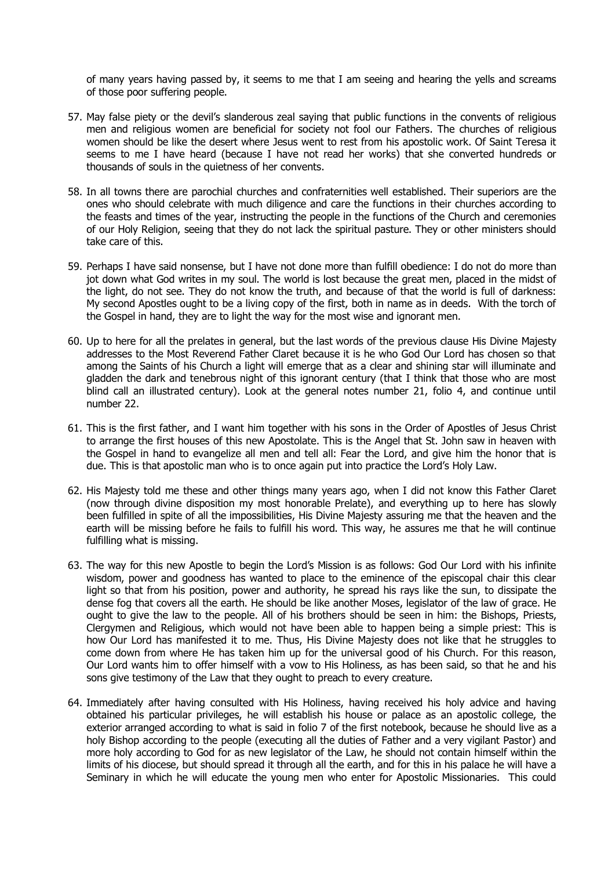of many years having passed by, it seems to me that I am seeing and hearing the yells and screams of those poor suffering people.

- 57. May false piety or the devil's slanderous zeal saying that public functions in the convents of religious men and religious women are beneficial for society not fool our Fathers. The churches of religious women should be like the desert where Jesus went to rest from his apostolic work. Of Saint Teresa it seems to me I have heard (because I have not read her works) that she converted hundreds or thousands of souls in the quietness of her convents.
- 58. In all towns there are parochial churches and confraternities well established. Their superiors are the ones who should celebrate with much diligence and care the functions in their churches according to the feasts and times of the year, instructing the people in the functions of the Church and ceremonies of our Holy Religion, seeing that they do not lack the spiritual pasture. They or other ministers should take care of this.
- 59. Perhaps I have said nonsense, but I have not done more than fulfill obedience: I do not do more than jot down what God writes in my soul. The world is lost because the great men, placed in the midst of the light, do not see. They do not know the truth, and because of that the world is full of darkness: My second Apostles ought to be a living copy of the first, both in name as in deeds. With the torch of the Gospel in hand, they are to light the way for the most wise and ignorant men.
- 60. Up to here for all the prelates in general, but the last words of the previous clause His Divine Majesty addresses to the Most Reverend Father Claret because it is he who God Our Lord has chosen so that among the Saints of his Church a light will emerge that as a clear and shining star will illuminate and gladden the dark and tenebrous night of this ignorant century (that I think that those who are most blind call an illustrated century). Look at the general notes number 21, folio 4, and continue until number 22.
- 61. This is the first father, and I want him together with his sons in the Order of Apostles of Jesus Christ to arrange the first houses of this new Apostolate. This is the Angel that St. John saw in heaven with the Gospel in hand to evangelize all men and tell all: Fear the Lord, and give him the honor that is due. This is that apostolic man who is to once again put into practice the Lord's Holy Law.
- 62. His Majesty told me these and other things many years ago, when I did not know this Father Claret (now through divine disposition my most honorable Prelate), and everything up to here has slowly been fulfilled in spite of all the impossibilities, His Divine Majesty assuring me that the heaven and the earth will be missing before he fails to fulfill his word. This way, he assures me that he will continue fulfilling what is missing.
- 63. The way for this new Apostle to begin the Lord's Mission is as follows: God Our Lord with his infinite wisdom, power and goodness has wanted to place to the eminence of the episcopal chair this clear light so that from his position, power and authority, he spread his rays like the sun, to dissipate the dense fog that covers all the earth. He should be like another Moses, legislator of the law of grace. He ought to give the law to the people. All of his brothers should be seen in him: the Bishops, Priests, Clergymen and Religious, which would not have been able to happen being a simple priest: This is how Our Lord has manifested it to me. Thus, His Divine Majesty does not like that he struggles to come down from where He has taken him up for the universal good of his Church. For this reason, Our Lord wants him to offer himself with a vow to His Holiness, as has been said, so that he and his sons give testimony of the Law that they ought to preach to every creature.
- 64. Immediately after having consulted with His Holiness, having received his holy advice and having obtained his particular privileges, he will establish his house or palace as an apostolic college, the exterior arranged according to what is said in folio 7 of the first notebook, because he should live as a holy Bishop according to the people (executing all the duties of Father and a very vigilant Pastor) and more holy according to God for as new legislator of the Law, he should not contain himself within the limits of his diocese, but should spread it through all the earth, and for this in his palace he will have a Seminary in which he will educate the young men who enter for Apostolic Missionaries. This could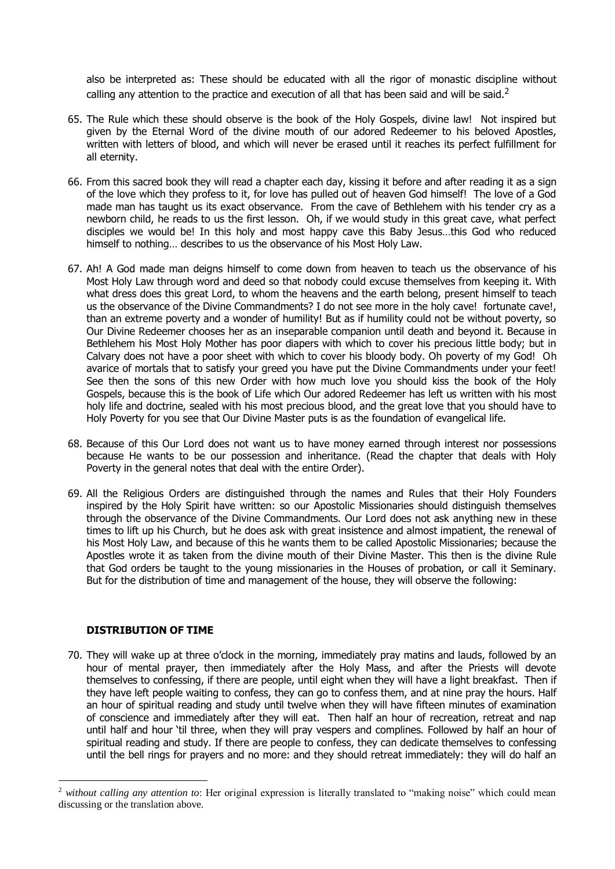also be interpreted as: These should be educated with all the rigor of monastic discipline without calling any attention to the practice and execution of all that has been said and will be said.<sup>2</sup>

- 65. The Rule which these should observe is the book of the Holy Gospels, divine law! Not inspired but given by the Eternal Word of the divine mouth of our adored Redeemer to his beloved Apostles, written with letters of blood, and which will never be erased until it reaches its perfect fulfillment for all eternity.
- 66. From this sacred book they will read a chapter each day, kissing it before and after reading it as a sign of the love which they profess to it, for love has pulled out of heaven God himself! The love of a God made man has taught us its exact observance. From the cave of Bethlehem with his tender cry as a newborn child, he reads to us the first lesson. Oh, if we would study in this great cave, what perfect disciples we would be! In this holy and most happy cave this Baby Jesus…this God who reduced himself to nothing… describes to us the observance of his Most Holy Law.
- 67. Ah! A God made man deigns himself to come down from heaven to teach us the observance of his Most Holy Law through word and deed so that nobody could excuse themselves from keeping it. With what dress does this great Lord, to whom the heavens and the earth belong, present himself to teach us the observance of the Divine Commandments? I do not see more in the holy cave! fortunate cave!, than an extreme poverty and a wonder of humility! But as if humility could not be without poverty, so Our Divine Redeemer chooses her as an inseparable companion until death and beyond it. Because in Bethlehem his Most Holy Mother has poor diapers with which to cover his precious little body; but in Calvary does not have a poor sheet with which to cover his bloody body. Oh poverty of my God! Oh avarice of mortals that to satisfy your greed you have put the Divine Commandments under your feet! See then the sons of this new Order with how much love you should kiss the book of the Holy Gospels, because this is the book of Life which Our adored Redeemer has left us written with his most holy life and doctrine, sealed with his most precious blood, and the great love that you should have to Holy Poverty for you see that Our Divine Master puts is as the foundation of evangelical life.
- 68. Because of this Our Lord does not want us to have money earned through interest nor possessions because He wants to be our possession and inheritance. (Read the chapter that deals with Holy Poverty in the general notes that deal with the entire Order).
- 69. All the Religious Orders are distinguished through the names and Rules that their Holy Founders inspired by the Holy Spirit have written: so our Apostolic Missionaries should distinguish themselves through the observance of the Divine Commandments. Our Lord does not ask anything new in these times to lift up his Church, but he does ask with great insistence and almost impatient, the renewal of his Most Holy Law, and because of this he wants them to be called Apostolic Missionaries; because the Apostles wrote it as taken from the divine mouth of their Divine Master. This then is the divine Rule that God orders be taught to the young missionaries in the Houses of probation, or call it Seminary. But for the distribution of time and management of the house, they will observe the following:

## **DISTRIBUTION OF TIME**

1

70. They will wake up at three o'clock in the morning, immediately pray matins and lauds, followed by an hour of mental prayer, then immediately after the Holy Mass, and after the Priests will devote themselves to confessing, if there are people, until eight when they will have a light breakfast. Then if they have left people waiting to confess, they can go to confess them, and at nine pray the hours. Half an hour of spiritual reading and study until twelve when they will have fifteen minutes of examination of conscience and immediately after they will eat. Then half an hour of recreation, retreat and nap until half and hour 'til three, when they will pray vespers and complines. Followed by half an hour of spiritual reading and study. If there are people to confess, they can dedicate themselves to confessing until the bell rings for prayers and no more: and they should retreat immediately: they will do half an

<sup>2</sup> *without calling any attention to*: Her original expression is literally translated to "making noise" which could mean discussing or the translation above.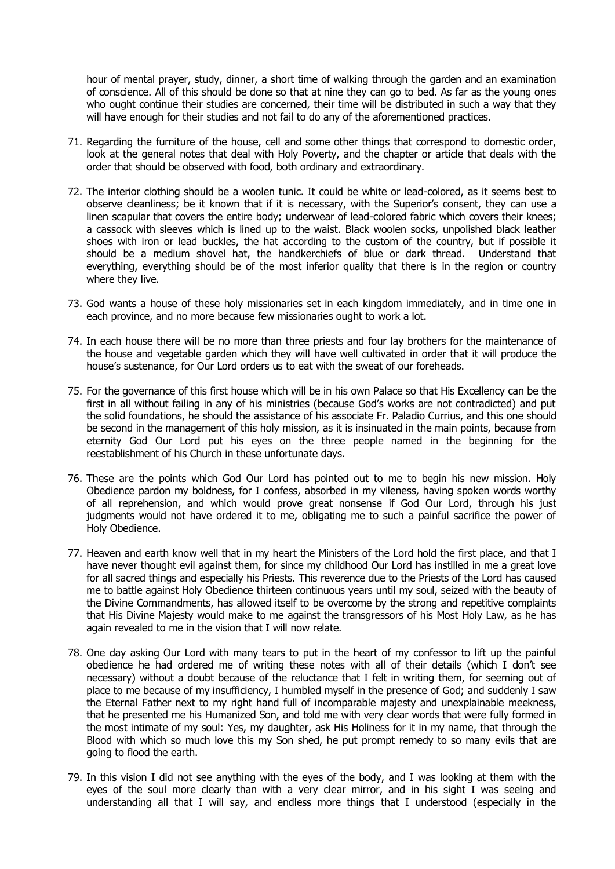hour of mental prayer, study, dinner, a short time of walking through the garden and an examination of conscience. All of this should be done so that at nine they can go to bed. As far as the young ones who ought continue their studies are concerned, their time will be distributed in such a way that they will have enough for their studies and not fail to do any of the aforementioned practices.

- 71. Regarding the furniture of the house, cell and some other things that correspond to domestic order, look at the general notes that deal with Holy Poverty, and the chapter or article that deals with the order that should be observed with food, both ordinary and extraordinary.
- 72. The interior clothing should be a woolen tunic. It could be white or lead-colored, as it seems best to observe cleanliness; be it known that if it is necessary, with the Superior's consent, they can use a linen scapular that covers the entire body; underwear of lead-colored fabric which covers their knees; a cassock with sleeves which is lined up to the waist. Black woolen socks, unpolished black leather shoes with iron or lead buckles, the hat according to the custom of the country, but if possible it should be a medium shovel hat, the handkerchiefs of blue or dark thread. Understand that everything, everything should be of the most inferior quality that there is in the region or country where they live.
- 73. God wants a house of these holy missionaries set in each kingdom immediately, and in time one in each province, and no more because few missionaries ought to work a lot.
- 74. In each house there will be no more than three priests and four lay brothers for the maintenance of the house and vegetable garden which they will have well cultivated in order that it will produce the house's sustenance, for Our Lord orders us to eat with the sweat of our foreheads.
- 75. For the governance of this first house which will be in his own Palace so that His Excellency can be the first in all without failing in any of his ministries (because God's works are not contradicted) and put the solid foundations, he should the assistance of his associate Fr. Paladio Currius, and this one should be second in the management of this holy mission, as it is insinuated in the main points, because from eternity God Our Lord put his eyes on the three people named in the beginning for the reestablishment of his Church in these unfortunate days.
- 76. These are the points which God Our Lord has pointed out to me to begin his new mission. Holy Obedience pardon my boldness, for I confess, absorbed in my vileness, having spoken words worthy of all reprehension, and which would prove great nonsense if God Our Lord, through his just judgments would not have ordered it to me, obligating me to such a painful sacrifice the power of Holy Obedience.
- 77. Heaven and earth know well that in my heart the Ministers of the Lord hold the first place, and that I have never thought evil against them, for since my childhood Our Lord has instilled in me a great love for all sacred things and especially his Priests. This reverence due to the Priests of the Lord has caused me to battle against Holy Obedience thirteen continuous years until my soul, seized with the beauty of the Divine Commandments, has allowed itself to be overcome by the strong and repetitive complaints that His Divine Majesty would make to me against the transgressors of his Most Holy Law, as he has again revealed to me in the vision that I will now relate.
- 78. One day asking Our Lord with many tears to put in the heart of my confessor to lift up the painful obedience he had ordered me of writing these notes with all of their details (which I don't see necessary) without a doubt because of the reluctance that I felt in writing them, for seeming out of place to me because of my insufficiency, I humbled myself in the presence of God; and suddenly I saw the Eternal Father next to my right hand full of incomparable majesty and unexplainable meekness, that he presented me his Humanized Son, and told me with very clear words that were fully formed in the most intimate of my soul: Yes, my daughter, ask His Holiness for it in my name, that through the Blood with which so much love this my Son shed, he put prompt remedy to so many evils that are going to flood the earth.
- 79. In this vision I did not see anything with the eyes of the body, and I was looking at them with the eyes of the soul more clearly than with a very clear mirror, and in his sight I was seeing and understanding all that I will say, and endless more things that I understood (especially in the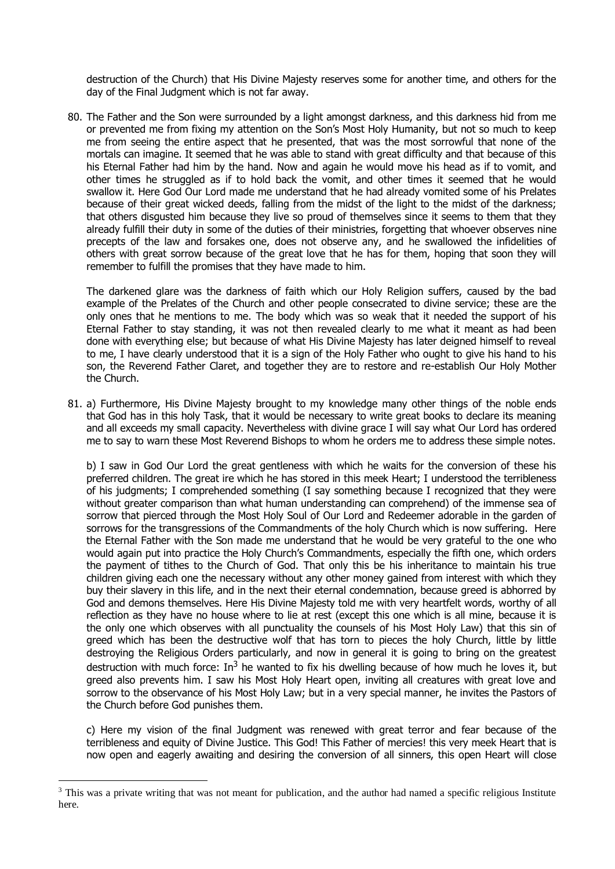destruction of the Church) that His Divine Majesty reserves some for another time, and others for the day of the Final Judgment which is not far away.

80. The Father and the Son were surrounded by a light amongst darkness, and this darkness hid from me or prevented me from fixing my attention on the Son's Most Holy Humanity, but not so much to keep me from seeing the entire aspect that he presented, that was the most sorrowful that none of the mortals can imagine. It seemed that he was able to stand with great difficulty and that because of this his Eternal Father had him by the hand. Now and again he would move his head as if to vomit, and other times he struggled as if to hold back the vomit, and other times it seemed that he would swallow it. Here God Our Lord made me understand that he had already vomited some of his Prelates because of their great wicked deeds, falling from the midst of the light to the midst of the darkness; that others disgusted him because they live so proud of themselves since it seems to them that they already fulfill their duty in some of the duties of their ministries, forgetting that whoever observes nine precepts of the law and forsakes one, does not observe any, and he swallowed the infidelities of others with great sorrow because of the great love that he has for them, hoping that soon they will remember to fulfill the promises that they have made to him.

The darkened glare was the darkness of faith which our Holy Religion suffers, caused by the bad example of the Prelates of the Church and other people consecrated to divine service; these are the only ones that he mentions to me. The body which was so weak that it needed the support of his Eternal Father to stay standing, it was not then revealed clearly to me what it meant as had been done with everything else; but because of what His Divine Majesty has later deigned himself to reveal to me, I have clearly understood that it is a sign of the Holy Father who ought to give his hand to his son, the Reverend Father Claret, and together they are to restore and re-establish Our Holy Mother the Church.

81. a) Furthermore, His Divine Majesty brought to my knowledge many other things of the noble ends that God has in this holy Task, that it would be necessary to write great books to declare its meaning and all exceeds my small capacity. Nevertheless with divine grace I will say what Our Lord has ordered me to say to warn these Most Reverend Bishops to whom he orders me to address these simple notes.

b) I saw in God Our Lord the great gentleness with which he waits for the conversion of these his preferred children. The great ire which he has stored in this meek Heart; I understood the terribleness of his judgments; I comprehended something (I say something because I recognized that they were without greater comparison than what human understanding can comprehend) of the immense sea of sorrow that pierced through the Most Holy Soul of Our Lord and Redeemer adorable in the garden of sorrows for the transgressions of the Commandments of the holy Church which is now suffering. Here the Eternal Father with the Son made me understand that he would be very grateful to the one who would again put into practice the Holy Church's Commandments, especially the fifth one, which orders the payment of tithes to the Church of God. That only this be his inheritance to maintain his true children giving each one the necessary without any other money gained from interest with which they buy their slavery in this life, and in the next their eternal condemnation, because greed is abhorred by God and demons themselves. Here His Divine Majesty told me with very heartfelt words, worthy of all reflection as they have no house where to lie at rest (except this one which is all mine, because it is the only one which observes with all punctuality the counsels of his Most Holy Law) that this sin of greed which has been the destructive wolf that has torn to pieces the holy Church, little by little destroying the Religious Orders particularly, and now in general it is going to bring on the greatest destruction with much force:  $In^3$  he wanted to fix his dwelling because of how much he loves it, but greed also prevents him. I saw his Most Holy Heart open, inviting all creatures with great love and sorrow to the observance of his Most Holy Law; but in a very special manner, he invites the Pastors of the Church before God punishes them.

c) Here my vision of the final Judgment was renewed with great terror and fear because of the terribleness and equity of Divine Justice. This God! This Father of mercies! this very meek Heart that is now open and eagerly awaiting and desiring the conversion of all sinners, this open Heart will close

1

<sup>&</sup>lt;sup>3</sup> This was a private writing that was not meant for publication, and the author had named a specific religious Institute here.